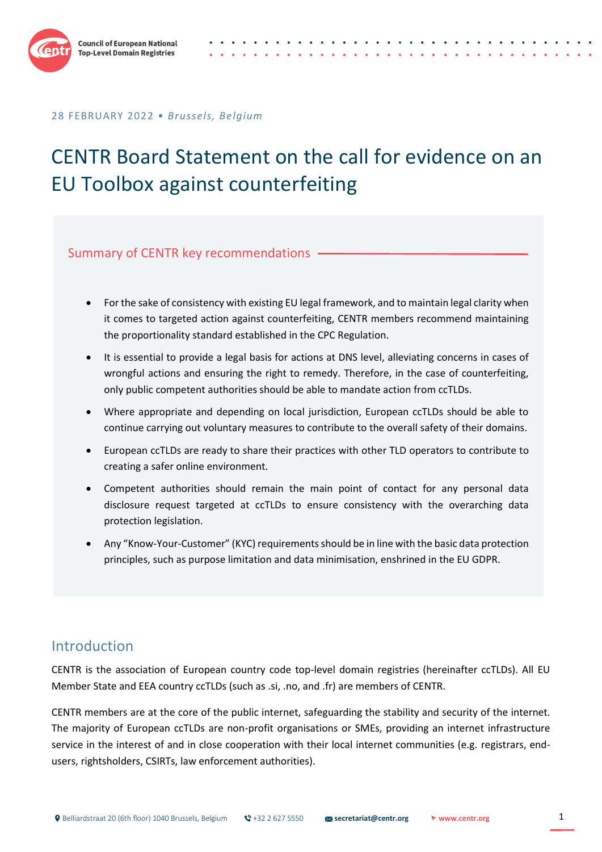

# CENTR Board Statement on the call for evidence on an EU Toolbox against counterfeiting

Summary of CENTR key recommendations

- For the sake of consistency with existing EU legal framework, and to maintain legal clarity when it comes to targeted action against counterfeiting, CENTR members recommend maintaining the proportionality standard established in the CPC Regulation.
- It is essential to provide a legal basis for actions at DNS level, alleviating concerns in cases of wrongful actions and ensuring the right to remedy. Therefore, in the case of counterfeiting, only public competent authorities should be able to mandate action from ccTLDs.
- Where appropriate and depending on local jurisdiction, European ccTLDs should be able to continue carrying out voluntary measures to contribute to the overall safety of their domains.
- European ccTLDs are ready to share their practices with other TLD operators to contribute to creating a safer online environment.
- Competent authorities should remain the main point of contact for any personal data disclosure request targeted at ccTLDs to ensure consistency with the overarching data protection legislation.
- Any "Know-Your-Customer" (KYC) requirements should be in line with the basic data protection principles, such as purpose limitation and data minimisation, enshrined in the EU GDPR.

## Introduction

CENTR is the association of European country code top-level domain registries (hereinafter ccTLDs). All EU Member State and EEA country ccTLDs (such as .si, .no, and .fr) are members of CENTR.

CENTR members are at the core of the public internet, safeguarding the stability and security of the internet. The majority of European ccTLDs are non-profit organisations or SMEs, providing an internet infrastructure service in the interest of and in close cooperation with their local internet communities (e.g. registrars, endusers, rightsholders, CSIRTs, law enforcement authorities).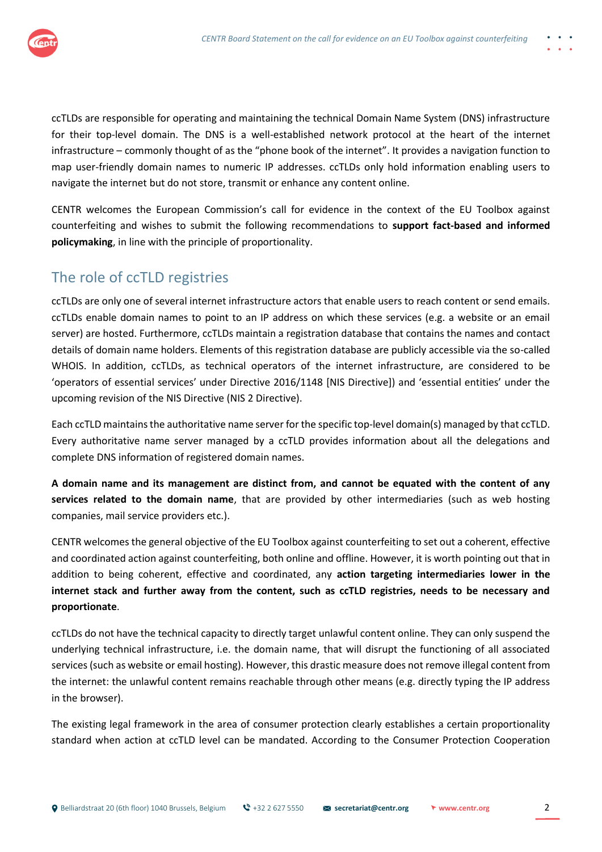

ccTLDs are responsible for operating and maintaining the technical Domain Name System (DNS) infrastructure for their top-level domain. The DNS is a well-established network protocol at the heart of the internet infrastructure – commonly thought of as the "phone book of the internet". It provides a navigation function to map user-friendly domain names to numeric IP addresses. ccTLDs only hold information enabling users to navigate the internet but do not store, transmit or enhance any content online.

CENTR welcomes the European Commission's call for evidence in the context of the EU Toolbox against counterfeiting and wishes to submit the following recommendations to **support fact-based and informed policymaking**, in line with the principle of proportionality.

## The role of ccTLD registries

ccTLDs are only one of several internet infrastructure actors that enable users to reach content or send emails. ccTLDs enable domain names to point to an IP address on which these services (e.g. a website or an email server) are hosted. Furthermore, ccTLDs maintain a registration database that contains the names and contact details of domain name holders. Elements of this registration database are publicly accessible via the so-called WHOIS. In addition, ccTLDs, as technical operators of the internet infrastructure, are considered to be 'operators of essential services' under Directive 2016/1148 [NIS Directive]) and 'essential entities' under the upcoming revision of the NIS Directive (NIS 2 Directive).

Each ccTLD maintains the authoritative name server for the specific top-level domain(s) managed by that ccTLD. Every authoritative name server managed by a ccTLD provides information about all the delegations and complete DNS information of registered domain names.

**A domain name and its management are distinct from, and cannot be equated with the content of any services related to the domain name**, that are provided by other intermediaries (such as web hosting companies, mail service providers etc.).

CENTR welcomes the general objective of the EU Toolbox against counterfeiting to set out a coherent, effective and coordinated action against counterfeiting, both online and offline. However, it is worth pointing out that in addition to being coherent, effective and coordinated, any **action targeting intermediaries lower in the internet stack and further away from the content, such as ccTLD registries, needs to be necessary and proportionate**.

ccTLDs do not have the technical capacity to directly target unlawful content online. They can only suspend the underlying technical infrastructure, i.e. the domain name, that will disrupt the functioning of all associated services (such as website or email hosting). However, this drastic measure does not remove illegal content from the internet: the unlawful content remains reachable through other means (e.g. directly typing the IP address in the browser).

The existing legal framework in the area of consumer protection clearly establishes a certain proportionality standard when action at ccTLD level can be mandated. According to the Consumer Protection Cooperation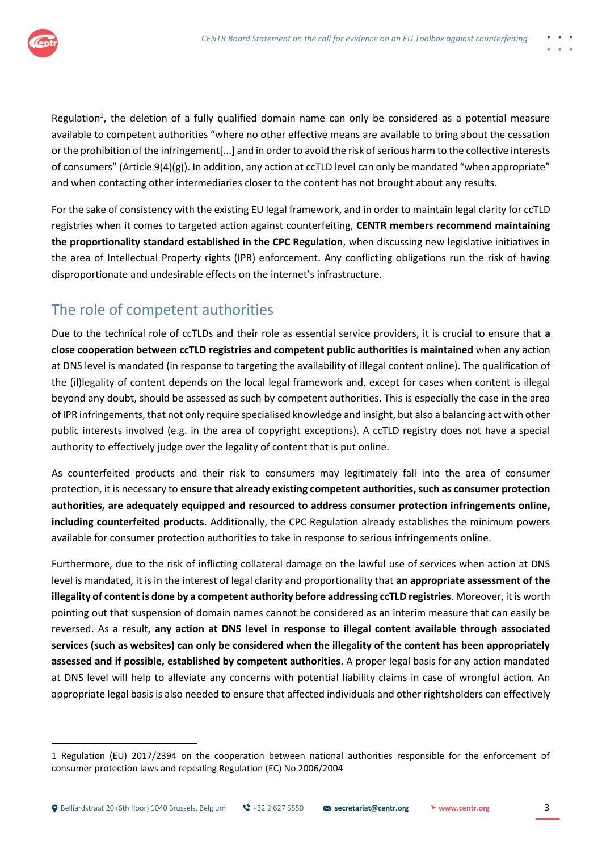

Regulation<sup>1</sup>, the deletion of a fully qualified domain name can only be considered as a potential measure available to competent authorities "where no other effective means are available to bring about the cessation or the prohibition of the infringement[...] and in order to avoid the risk of serious harm to the collective interests of consumers" (Article 9(4)(g)). In addition, any action at ccTLD level can only be mandated "when appropriate" and when contacting other intermediaries closer to the content has not brought about any results.

For the sake of consistency with the existing EU legal framework, and in order to maintain legal clarity for ccTLD registries when it comes to targeted action against counterfeiting, **CENTR members recommend maintaining the proportionality standard established in the CPC Regulation**, when discussing new legislative initiatives in the area of Intellectual Property rights (IPR) enforcement. Any conflicting obligations run the risk of having disproportionate and undesirable effects on the internet's infrastructure.

## The role of competent authorities

Due to the technical role of ccTLDs and their role as essential service providers, it is crucial to ensure that **a close cooperation between ccTLD registries and competent public authorities is maintained** when any action at DNS level is mandated (in response to targeting the availability of illegal content online). The qualification of the (il)legality of content depends on the local legal framework and, except for cases when content is illegal beyond any doubt, should be assessed as such by competent authorities. This is especially the case in the area of IPR infringements, that not only require specialised knowledge and insight, but also a balancing act with other public interests involved (e.g. in the area of copyright exceptions). A ccTLD registry does not have a special authority to effectively judge over the legality of content that is put online.

As counterfeited products and their risk to consumers may legitimately fall into the area of consumer protection, it is necessary to **ensure that already existing competent authorities, such as consumer protection authorities, are adequately equipped and resourced to address consumer protection infringements online, including counterfeited products**. Additionally, the CPC Regulation already establishes the minimum powers available for consumer protection authorities to take in response to serious infringements online.

Furthermore, due to the risk of inflicting collateral damage on the lawful use of services when action at DNS level is mandated, it is in the interest of legal clarity and proportionality that **an appropriate assessment of the illegality of content is done by a competent authority before addressing ccTLD registries**. Moreover, it is worth pointing out that suspension of domain names cannot be considered as an interim measure that can easily be reversed. As a result, **any action at DNS level in response to illegal content available through associated services (such as websites) can only be considered when the illegality of the content has been appropriately assessed and if possible, established by competent authorities**. A proper legal basis for any action mandated at DNS level will help to alleviate any concerns with potential liability claims in case of wrongful action. An appropriate legal basis is also needed to ensure that affected individuals and other rightsholders can effectively

<sup>1</sup> Regulation (EU) 2017/2394 on the cooperation between national authorities responsible for the enforcement of consumer protection laws and repealing Regulation (EC) No 2006/2004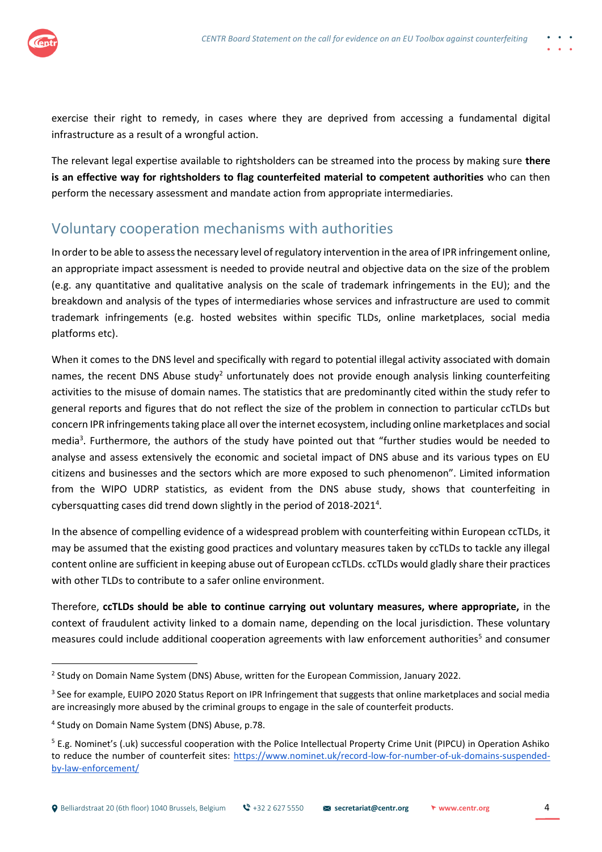exercise their right to remedy, in cases where they are deprived from accessing a fundamental digital infrastructure as a result of a wrongful action.

The relevant legal expertise available to rightsholders can be streamed into the process by making sure **there is an effective way for rightsholders to flag counterfeited material to competent authorities** who can then perform the necessary assessment and mandate action from appropriate intermediaries.

## Voluntary cooperation mechanisms with authorities

In order to be able to assess the necessary level of regulatory intervention in the area of IPR infringement online, an appropriate impact assessment is needed to provide neutral and objective data on the size of the problem (e.g. any quantitative and qualitative analysis on the scale of trademark infringements in the EU); and the breakdown and analysis of the types of intermediaries whose services and infrastructure are used to commit trademark infringements (e.g. hosted websites within specific TLDs, online marketplaces, social media platforms etc).

When it comes to the DNS level and specifically with regard to potential illegal activity associated with domain names, the recent DNS Abuse study<sup>2</sup> unfortunately does not provide enough analysis linking counterfeiting activities to the misuse of domain names. The statistics that are predominantly cited within the study refer to general reports and figures that do not reflect the size of the problem in connection to particular ccTLDs but concern IPR infringements taking place all over the internet ecosystem, including online marketplaces and social media<sup>3</sup>. Furthermore, the authors of the study have pointed out that "further studies would be needed to analyse and assess extensively the economic and societal impact of DNS abuse and its various types on EU citizens and businesses and the sectors which are more exposed to such phenomenon". Limited information from the WIPO UDRP statistics, as evident from the DNS abuse study, shows that counterfeiting in cybersquatting cases did trend down slightly in the period of 2018-2021<sup>4</sup>.

In the absence of compelling evidence of a widespread problem with counterfeiting within European ccTLDs, it may be assumed that the existing good practices and voluntary measures taken by ccTLDs to tackle any illegal content online are sufficient in keeping abuse out of European ccTLDs. ccTLDs would gladly share their practices with other TLDs to contribute to a safer online environment.

Therefore, **ccTLDs should be able to continue carrying out voluntary measures, where appropriate,** in the context of fraudulent activity linked to a domain name, depending on the local jurisdiction. These voluntary measures could include additional cooperation agreements with law enforcement authorities<sup>5</sup> and consumer

<sup>&</sup>lt;sup>2</sup> Study on Domain Name System (DNS) Abuse, written for the European Commission, January 2022.

<sup>&</sup>lt;sup>3</sup> See for example, EUIPO 2020 Status Report on IPR Infringement that suggests that online marketplaces and social media are increasingly more abused by the criminal groups to engage in the sale of counterfeit products.

<sup>4</sup> Study on Domain Name System (DNS) Abuse, p.78.

<sup>&</sup>lt;sup>5</sup> E.g. Nominet's (.uk) successful cooperation with the Police Intellectual Property Crime Unit (PIPCU) in Operation Ashiko to reduce the number of counterfeit sites: [https://www.nominet.uk/record-low-for-number-of-uk-domains-suspended](https://www.nominet.uk/record-low-for-number-of-uk-domains-suspended-by-law-enforcement/)[by-law-enforcement/](https://www.nominet.uk/record-low-for-number-of-uk-domains-suspended-by-law-enforcement/)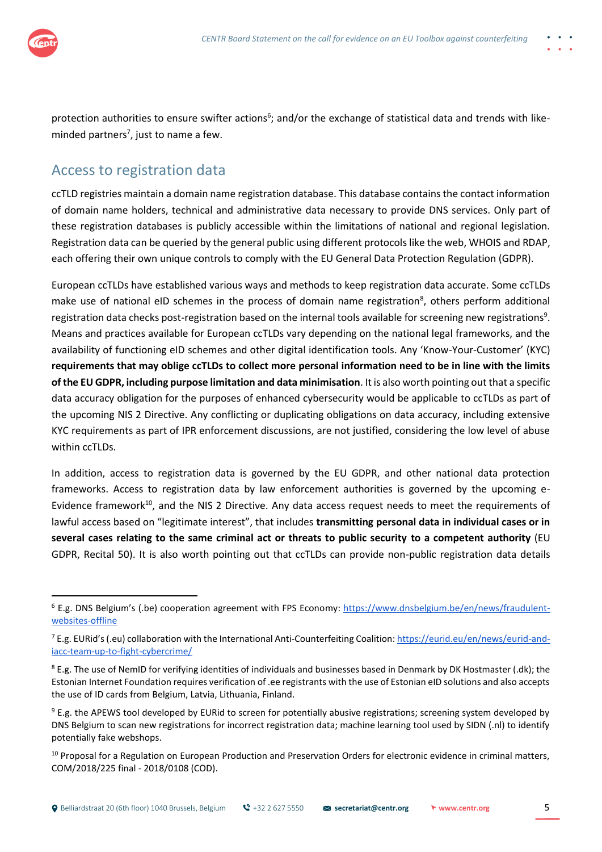

protection authorities to ensure swifter actions<sup>6</sup>; and/or the exchange of statistical data and trends with likeminded partners<sup>7</sup>, just to name a few.

#### Access to registration data

ccTLD registries maintain a domain name registration database. This database contains the contact information of domain name holders, technical and administrative data necessary to provide DNS services. Only part of these registration databases is publicly accessible within the limitations of national and regional legislation. Registration data can be queried by the general public using different protocols like the web, WHOIS and RDAP, each offering their own unique controls to comply with the EU General Data Protection Regulation (GDPR).

European ccTLDs have established various ways and methods to keep registration data accurate. Some ccTLDs make use of national eID schemes in the process of domain name registration<sup>8</sup>, others perform additional registration data checks post-registration based on the internal tools available for screening new registrations<sup>9</sup>. Means and practices available for European ccTLDs vary depending on the national legal frameworks, and the availability of functioning eID schemes and other digital identification tools. Any 'Know-Your-Customer' (KYC) **requirements that may oblige ccTLDs to collect more personal information need to be in line with the limits of the EU GDPR, including purpose limitation and data minimisation**. It is also worth pointing out that a specific data accuracy obligation for the purposes of enhanced cybersecurity would be applicable to ccTLDs as part of the upcoming NIS 2 Directive. Any conflicting or duplicating obligations on data accuracy, including extensive KYC requirements as part of IPR enforcement discussions, are not justified, considering the low level of abuse within ccTLDs.

In addition, access to registration data is governed by the EU GDPR, and other national data protection frameworks. Access to registration data by law enforcement authorities is governed by the upcoming e-Evidence framework<sup>10</sup>, and the NIS 2 Directive. Any data access request needs to meet the requirements of lawful access based on "legitimate interest", that includes **transmitting personal data in individual cases or in several cases relating to the same criminal act or threats to public security to a competent authority** (EU GDPR, Recital 50). It is also worth pointing out that ccTLDs can provide non-public registration data details

<sup>&</sup>lt;sup>6</sup> E.g. DNS Belgium's (.be) cooperation agreement with FPS Economy: [https://www.dnsbelgium.be/en/news/fraudulent](https://www.dnsbelgium.be/en/news/fraudulent-websites-offlinehttps:/www.dnsbelgium.be/en/news/fraudulent-websites-offline)[websites-offline](https://www.dnsbelgium.be/en/news/fraudulent-websites-offlinehttps:/www.dnsbelgium.be/en/news/fraudulent-websites-offline)

<sup>&</sup>lt;sup>7</sup> E.g. EURid's (.eu) collaboration with the International Anti-Counterfeiting Coalition: [https://eurid.eu/en/news/eurid-and](https://eurid.eu/en/news/eurid-and-iacc-team-up-to-fight-cybercrime/)[iacc-team-up-to-fight-cybercrime/](https://eurid.eu/en/news/eurid-and-iacc-team-up-to-fight-cybercrime/)

<sup>&</sup>lt;sup>8</sup> E.g. The use of NemID for verifying identities of individuals and businesses based in Denmark by DK Hostmaster (.dk); the Estonian Internet Foundation requires verification of .ee registrants with the use of Estonian eID solutions and also accepts the use of ID cards from Belgium, Latvia, Lithuania, Finland.

 $9$  E.g. the APEWS tool developed by EURid to screen for potentially abusive registrations; screening system developed by DNS Belgium to scan new registrations for incorrect registration data; machine learning tool used by SIDN (.nl) to identify potentially fake webshops.

<sup>&</sup>lt;sup>10</sup> Proposal for a Regulation on European Production and Preservation Orders for electronic evidence in criminal matters, COM/2018/225 final - 2018/0108 (COD).